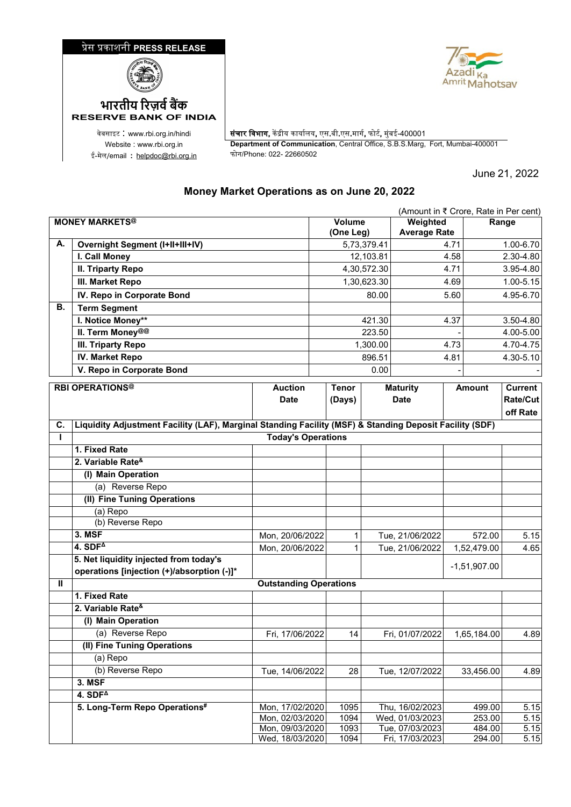## �ेस �काशनी **PRESS RELEASE**





ई-मेल/email : <u>[helpdoc@rbi.org.in](mailto:helpdoc@rbi.org.in)</u>

**RESERVE BANK OF INDIA**

वेबसाइट : www.rbi.org.in/hindi <mark>| संचार विभाग,</mark> केंद्रीय कार्यालय, एस.बी.एस.मार्ग, फोर्ट, मुंबई-400001 Website : www.rbi.org.in **Department of Communication**, Central Office, S.B.S.Marg, Fort, Mumbai-400001

June 21, 2022

## **Money Market Operations as on June 20, 2022**

|                       | (Amount in ₹ Crore, Rate in Per cent)                                                                   |                                    |              |                     |                 |                                    |               |                  |               |
|-----------------------|---------------------------------------------------------------------------------------------------------|------------------------------------|--------------|---------------------|-----------------|------------------------------------|---------------|------------------|---------------|
| <b>MONEY MARKETS®</b> |                                                                                                         |                                    |              | Volume<br>(One Leg) |                 | Weighted<br><b>Average Rate</b>    |               | Range            |               |
| А.                    | <b>Overnight Segment (I+II+III+IV)</b>                                                                  |                                    |              |                     | 5,73,379.41     |                                    | 4.71          |                  | 1.00-6.70     |
|                       | I. Call Money                                                                                           |                                    |              | 12,103.81           |                 | 4.58                               |               |                  | 2.30-4.80     |
|                       | <b>II. Triparty Repo</b>                                                                                |                                    |              |                     | 4,30,572.30     |                                    | 4.71          |                  | 3.95-4.80     |
|                       | III. Market Repo                                                                                        |                                    |              |                     | 1,30,623.30     |                                    | 4.69          |                  | $1.00 - 5.15$ |
|                       | IV. Repo in Corporate Bond                                                                              |                                    |              |                     | 80.00           |                                    | 5.60          |                  | 4.95-6.70     |
| В.                    | <b>Term Segment</b>                                                                                     |                                    |              |                     |                 |                                    |               |                  |               |
|                       | I. Notice Money**                                                                                       |                                    |              |                     | 421.30          |                                    | 4.37          |                  | 3.50-4.80     |
|                       | II. Term Money@@                                                                                        |                                    |              | 223.50              |                 |                                    |               |                  | 4.00-5.00     |
|                       | <b>III. Triparty Repo</b>                                                                               |                                    |              | 1,300.00            |                 | 4.73                               |               |                  | 4.70-4.75     |
|                       | <b>IV. Market Repo</b>                                                                                  |                                    |              | 896.51              |                 | 4.81                               |               |                  | 4.30-5.10     |
|                       | V. Repo in Corporate Bond                                                                               |                                    |              | 0.00                |                 |                                    |               |                  |               |
|                       | <b>RBI OPERATIONS®</b>                                                                                  | <b>Auction</b>                     | <b>Tenor</b> |                     | <b>Maturity</b> |                                    | <b>Amount</b> | <b>Current</b>   |               |
|                       |                                                                                                         | <b>Date</b>                        |              | (Days)              |                 | <b>Date</b>                        |               |                  | Rate/Cut      |
|                       |                                                                                                         |                                    |              |                     |                 |                                    |               |                  | off Rate      |
| C.                    | Liquidity Adjustment Facility (LAF), Marginal Standing Facility (MSF) & Standing Deposit Facility (SDF) |                                    |              |                     |                 |                                    |               |                  |               |
| L                     |                                                                                                         | <b>Today's Operations</b>          |              |                     |                 |                                    |               |                  |               |
|                       | 1. Fixed Rate                                                                                           |                                    |              |                     |                 |                                    |               |                  |               |
|                       | 2. Variable Rate <sup>&amp;</sup>                                                                       |                                    |              |                     |                 |                                    |               |                  |               |
|                       | (I) Main Operation                                                                                      |                                    |              |                     |                 |                                    |               |                  |               |
|                       | (a) Reverse Repo                                                                                        |                                    |              |                     |                 |                                    |               |                  |               |
|                       | (II) Fine Tuning Operations                                                                             |                                    |              |                     |                 |                                    |               |                  |               |
|                       | (a) Repo                                                                                                |                                    |              |                     |                 |                                    |               |                  |               |
|                       | (b) Reverse Repo                                                                                        |                                    |              |                     |                 |                                    |               |                  |               |
|                       | 3. MSF                                                                                                  | Mon, 20/06/2022                    |              | 1                   |                 | Tue, 21/06/2022                    |               | 572.00           | 5.15          |
|                       | 4. $SDF4$                                                                                               | Mon, 20/06/2022                    |              | 1                   |                 | Tue, 21/06/2022                    |               | 1,52,479.00      | 4.65          |
|                       | 5. Net liquidity injected from today's                                                                  |                                    |              |                     |                 |                                    |               | $-1,51,907.00$   |               |
|                       | operations [injection (+)/absorption (-)]*                                                              |                                    |              |                     |                 |                                    |               |                  |               |
| Ш                     |                                                                                                         | <b>Outstanding Operations</b>      |              |                     |                 |                                    |               |                  |               |
|                       | 1. Fixed Rate                                                                                           |                                    |              |                     |                 |                                    |               |                  |               |
|                       | 2. Variable Rate <sup>&amp;</sup>                                                                       |                                    |              |                     |                 |                                    |               |                  |               |
|                       | (I) Main Operation                                                                                      |                                    |              |                     |                 |                                    |               |                  |               |
|                       | (a) Reverse Repo                                                                                        | Fri, 17/06/2022                    |              | 14                  |                 | Fri, 01/07/2022                    |               | 1,65,184.00      | 4.89          |
|                       | (II) Fine Tuning Operations                                                                             |                                    |              |                     |                 |                                    |               |                  |               |
|                       | (a) Repo                                                                                                |                                    |              |                     |                 |                                    |               |                  |               |
|                       | (b) Reverse Repo                                                                                        | Tue, 14/06/2022                    |              | 28                  |                 | Tue, 12/07/2022                    |               | 33,456.00        | 4.89          |
|                       | <b>3. MSF</b>                                                                                           |                                    |              |                     |                 |                                    |               |                  |               |
|                       | $4.$ SDF <sup><math>\triangle</math></sup>                                                              |                                    |              |                     |                 |                                    |               |                  |               |
|                       | 5. Long-Term Repo Operations#                                                                           | Mon, 17/02/2020                    |              | 1095                |                 | Thu, 16/02/2023<br>Wed, 01/03/2023 |               | 499.00           | 5.15          |
|                       |                                                                                                         | Mon, 02/03/2020<br>Mon, 09/03/2020 |              | 1094<br>1093        |                 | Tue, 07/03/2023                    |               | 253.00<br>484.00 | 5.15<br>5.15  |
|                       |                                                                                                         | Wed, 18/03/2020                    |              | 1094                |                 | Fri, 17/03/2023                    |               | 294.00           | 5.15          |